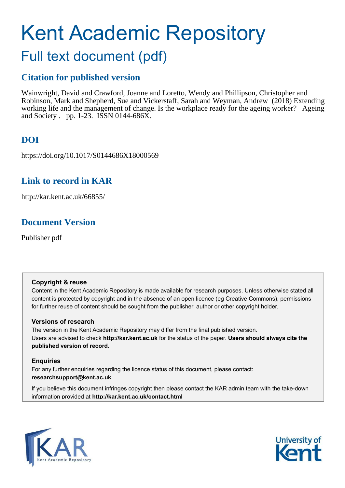# Kent Academic Repository

## Full text document (pdf)

## **Citation for published version**

Wainwright, David and Crawford, Joanne and Loretto, Wendy and Phillipson, Christopher and Robinson, Mark and Shepherd, Sue and Vickerstaff, Sarah and Weyman, Andrew (2018) Extending working life and the management of change. Is the workplace ready for the ageing worker? Ageing and Society . pp. 1-23. ISSN 0144-686X.

## **DOI**

https://doi.org/10.1017/S0144686X18000569

## **Link to record in KAR**

http://kar.kent.ac.uk/66855/

## **Document Version**

Publisher pdf

#### **Copyright & reuse**

Content in the Kent Academic Repository is made available for research purposes. Unless otherwise stated all content is protected by copyright and in the absence of an open licence (eg Creative Commons), permissions for further reuse of content should be sought from the publisher, author or other copyright holder.

#### **Versions of research**

The version in the Kent Academic Repository may differ from the final published version. Users are advised to check **http://kar.kent.ac.uk** for the status of the paper. **Users should always cite the published version of record.**

#### **Enquiries**

For any further enquiries regarding the licence status of this document, please contact: **researchsupport@kent.ac.uk**

If you believe this document infringes copyright then please contact the KAR admin team with the take-down information provided at **http://kar.kent.ac.uk/contact.html**



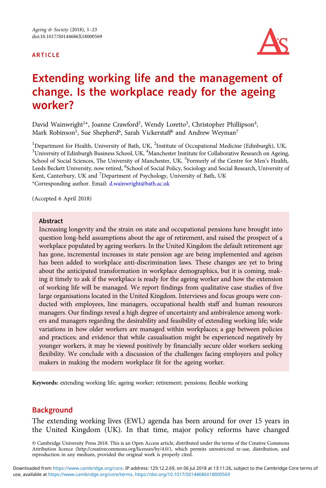#### ARTICLE



### Extending working life and the management of change. Is the workplace ready for the ageing worker?

David Wainwright<sup>1</sup>\*, Joanne Crawford<sup>2</sup>, Wendy Loretto<sup>3</sup>, Christopher Phillipson<sup>4</sup>, Mark Robinson<sup>5</sup>, Sue Shepherd<sup>6</sup>, Sarah Vickerstaff<sup>6</sup> and Andrew Weyman<sup>7</sup>

<sup>1</sup>Department for Health, University of Bath, UK,  ${}^{2}$ Institute of Occupational Medicine (Edinburgh), UK, <sup>3</sup>University of Edinburgh Business School, UK, <sup>4</sup>Manchester Institute for Collaborative Research on Ageing, School of Social Sciences, The University of Manchester, UK, <sup>5</sup>Formerly of the Centre for Men's Health, Leeds Beckett University, now retired, <sup>6</sup>School of Social Policy, Sociology and Social Research, University of Kent, Canterbury, UK and <sup>7</sup>Department of Psychology, University of Bath, UK \*Corresponding author. Email: [d.wainwright@bath.ac.uk](mailto:d.wainwright@bath.ac.uk)

(Accepted 6 April 2018)

#### Abstract

Increasing longevity and the strain on state and occupational pensions have brought into question long-held assumptions about the age of retirement, and raised the prospect of a workplace populated by ageing workers. In the United Kingdom the default retirement age has gone, incremental increases in state pension age are being implemented and ageism has been added to workplace anti-discrimination laws. These changes are yet to bring about the anticipated transformation in workplace demographics, but it is coming, making it timely to ask if the workplace is ready for the ageing worker and how the extension of working life will be managed. We report findings from qualitative case studies of five large organisations located in the United Kingdom. Interviews and focus groups were conducted with employees, line managers, occupational health staff and human resources managers. Our findings reveal a high degree of uncertainty and ambivalence among workers and managers regarding the desirability and feasibility of extending working life; wide variations in how older workers are managed within workplaces; a gap between policies and practices; and evidence that while casualisation might be experienced negatively by younger workers, it may be viewed positively by financially secure older workers seeking flexibility. We conclude with a discussion of the challenges facing employers and policy makers in making the modern workplace fit for the ageing worker.

Keywords: extending working life; ageing worker; retirement; pensions; flexible working

#### **Background**

The extending working lives (EWL) agenda has been around for over 15 years in the United Kingdom (UK). In that time, major policy reforms have changed

© Cambridge University Press 2018. This is an Open Access article, distributed under the terms of the Creative Commons Attribution licence (http://creativecommons.org/licenses/by/4.0/), which permits unrestricted re-use, distribution, and reproduction in any medium, provided the original work is properly cited.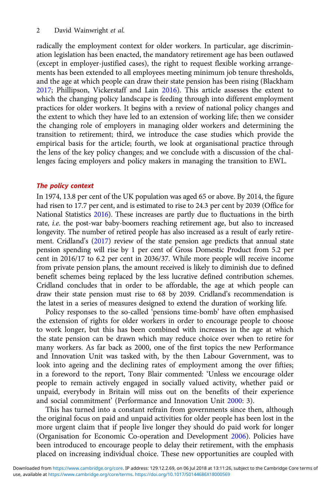#### 2 David Wainwright *et al.*

radically the employment context for older workers. In particular, age discrimination legislation has been enacted, the mandatory retirement age has been outlawed (except in employer-justified cases), the right to request flexible working arrangements has been extended to all employees meeting minimum job tenure thresholds, and the age at which people can draw their state pension has been rising (Blackham [2017;](#page-21-0) Phillipson, Vickerstaff and Lain [2016\)](#page-22-0). This article assesses the extent to which the changing policy landscape is feeding through into different employment practices for older workers. It begins with a review of national policy changes and the extent to which they have led to an extension of working life; then we consider the changing role of employers in managing older workers and determining the transition to retirement; third, we introduce the case studies which provide the empirical basis for the article; fourth, we look at organisational practice through the lens of the key policy changes; and we conclude with a discussion of the challenges facing employers and policy makers in managing the transition to EWL.

#### The policy context

In 1974, 13.8 per cent of the UK population was aged 65 or above. By 2014, the figure had risen to 17.7 per cent, and is estimated to rise to 24.3 per cent by 2039 (Office for National Statistics [2016](#page-22-0)). These increases are partly due to fluctuations in the birth rate, *i.e*. the post-war baby-boomers reaching retirement age, but also to increased longevity. The number of retired people has also increased as a result of early retirement. Cridland's [\(2017](#page-21-0)) review of the state pension age predicts that annual state pension spending will rise by 1 per cent of Gross Domestic Product from 5.2 per cent in 2016/17 to 6.2 per cent in 2036/37. While more people will receive income from private pension plans, the amount received is likely to diminish due to defined benefit schemes being replaced by the less lucrative defined contribution schemes. Cridland concludes that in order to be affordable, the age at which people can draw their state pension must rise to 68 by 2039. Cridland's recommendation is the latest in a series of measures designed to extend the duration of working life.

Policy responses to the so-called 'pensions time-bomb' have often emphasised the extension of rights for older workers in order to encourage people to choose to work longer, but this has been combined with increases in the age at which the state pension can be drawn which may reduce choice over when to retire for many workers. As far back as 2000, one of the first topics the new Performance and Innovation Unit was tasked with, by the then Labour Government, was to look into ageing and the declining rates of employment among the over fifties; in a foreword to the report, Tony Blair commented: 'Unless we encourage older people to remain actively engaged in socially valued activity, whether paid or unpaid, everybody in Britain will miss out on the benefits of their experience and social commitment' (Performance and Innovation Unit [2000](#page-22-0): 3).

This has turned into a constant refrain from governments since then, although the original focus on paid and unpaid activities for older people has been lost in the more urgent claim that if people live longer they should do paid work for longer (Organisation for Economic Co-operation and Development [2006](#page-22-0)). Policies have been introduced to encourage people to delay their retirement, with the emphasis placed on increasing individual choice. These new opportunities are coupled with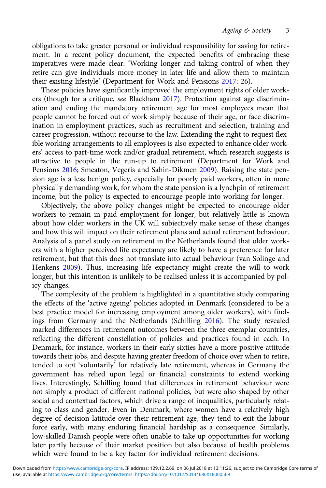obligations to take greater personal or individual responsibility for saving for retirement. In a recent policy document, the expected benefits of embracing these imperatives were made clear: 'Working longer and taking control of when they retire can give individuals more money in later life and allow them to maintain their existing lifestyle' (Department for Work and Pensions [2017:](#page-21-0) 26).

These policies have significantly improved the employment rights of older workers (though for a critique, *see* Blackham [2017\)](#page-21-0). Protection against age discrimination and ending the mandatory retirement age for most employees mean that people cannot be forced out of work simply because of their age, or face discrimination in employment practices, such as recruitment and selection, training and career progression, without recourse to the law. Extending the right to request flexible working arrangements to all employees is also expected to enhance older workers' access to part-time work and/or gradual retirement, which research suggests is attractive to people in the run-up to retirement (Department for Work and Pensions [2016;](#page-21-0) Smeaton, Vegeris and Sahin-Dikmen [2009\)](#page-22-0). Raising the state pension age is a less benign policy, especially for poorly paid workers, often in more physically demanding work, for whom the state pension is a lynchpin of retirement income, but the policy is expected to encourage people into working for longer.

Objectively, the above policy changes might be expected to encourage older workers to remain in paid employment for longer, but relatively little is known about how older workers in the UK will subjectively make sense of these changes and how this will impact on their retirement plans and actual retirement behaviour. Analysis of a panel study on retirement in the Netherlands found that older workers with a higher perceived life expectancy are likely to have a preference for later retirement, but that this does not translate into actual behaviour (van Solinge and Henkens [2009\)](#page-22-0). Thus, increasing life expectancy might create the will to work longer, but this intention is unlikely to be realised unless it is accompanied by policy changes.

The complexity of the problem is highlighted in a quantitative study comparing the effects of the 'active ageing' policies adopted in Denmark (considered to be a best practice model for increasing employment among older workers), with findings from Germany and the Netherlands (Schilling [2016](#page-22-0)). The study revealed marked differences in retirement outcomes between the three exemplar countries, reflecting the different constellation of policies and practices found in each. In Denmark, for instance, workers in their early sixties have a more positive attitude towards their jobs, and despite having greater freedom of choice over when to retire, tended to opt 'voluntarily' for relatively late retirement, whereas in Germany the government has relied upon legal or financial constraints to extend working lives. Interestingly, Schilling found that differences in retirement behaviour were not simply a product of different national policies, but were also shaped by other social and contextual factors, which drive a range of inequalities, particularly relating to class and gender. Even in Denmark, where women have a relatively high degree of decision latitude over their retirement age, they tend to exit the labour force early, with many enduring financial hardship as a consequence. Similarly, low-skilled Danish people were often unable to take up opportunities for working later partly because of their market position but also because of health problems which were found to be a key factor for individual retirement decisions.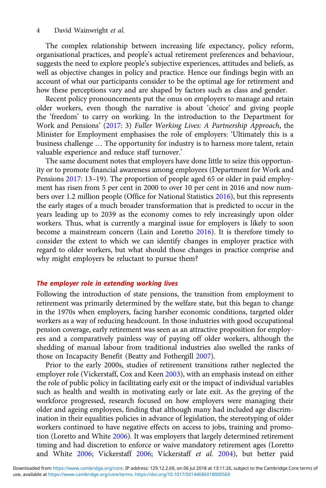#### 4 David Wainwright *et al.*

The complex relationship between increasing life expectancy, policy reform, organisational practices, and people's actual retirement preferences and behaviour, suggests the need to explore people's subjective experiences, attitudes and beliefs, as well as objective changes in policy and practice. Hence our findings begin with an account of what our participants consider to be the optimal age for retirement and how these perceptions vary and are shaped by factors such as class and gender.

Recent policy pronouncements put the onus on employers to manage and retain older workers, even though the narrative is about 'choice' and giving people the 'freedom' to carry on working. In the introduction to the Department for Work and Pensions' [\(2017:](#page-21-0) 3) *Fuller Working Lives: A Partnership Approach*, the Minister for Employment emphasises the role of employers: 'Ultimately this is a business challenge … The opportunity for industry is to harness more talent, retain valuable experience and reduce staff turnover.'

The same document notes that employers have done little to seize this opportunity or to promote financial awareness among employees (Department for Work and Pensions [2017:](#page-21-0) 13–19). The proportion of people aged 65 or older in paid employment has risen from 5 per cent in 2000 to over 10 per cent in 2016 and now numbers over 1.2 million people (Office for National Statistics [2016\)](#page-22-0), but this represents the early stages of a much broader transformation that is predicted to occur in the years leading up to 2039 as the economy comes to rely increasingly upon older workers. Thus, what is currently a marginal issue for employers is likely to soon become a mainstream concern (Lain and Loretto [2016](#page-21-0)). It is therefore timely to consider the extent to which we can identify changes in employer practice with regard to older workers, but what should those changes in practice comprise and why might employers be reluctant to pursue them?

#### The employer role in extending working lives

Following the introduction of state pensions, the transition from employment to retirement was primarily determined by the welfare state, but this began to change in the 1970s when employers, facing harsher economic conditions, targeted older workers as a way of reducing headcount. In those industries with good occupational pension coverage, early retirement was seen as an attractive proposition for employees and a comparatively painless way of paying off older workers, although the shedding of manual labour from traditional industries also swelled the ranks of those on Incapacity Benefit (Beatty and Fothergill [2007\)](#page-21-0).

Prior to the early 2000s, studies of retirement transitions rather neglected the employer role (Vickerstaff, Cox and Keen [2003\)](#page-22-0), with an emphasis instead on either the role of public policy in facilitating early exit or the impact of individual variables such as health and wealth in motivating early or late exit. As the greying of the workforce progressed, research focused on how employers were managing their older and ageing employees, finding that although many had included age discrimination in their equalities policies in advance of legislation, the stereotyping of older workers continued to have negative effects on access to jobs, training and promotion (Loretto and White [2006\)](#page-21-0). It was employers that largely determined retirement timing and had discretion to enforce or waive mandatory retirement ages (Loretto and White [2006](#page-21-0); Vickerstaff [2006](#page-22-0); Vickerstaff *et al.* [2004](#page-22-0)), but better paid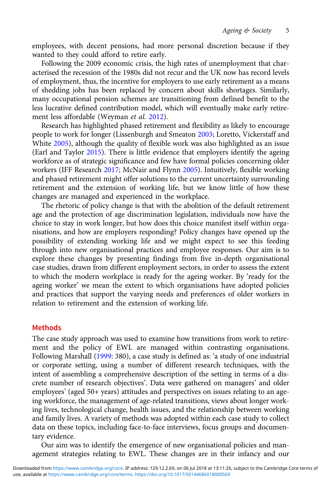employees, with decent pensions, had more personal discretion because if they wanted to they could afford to retire early.

Following the 2009 economic crisis, the high rates of unemployment that characterised the recession of the 1980s did not recur and the UK now has record levels of employment, thus, the incentive for employers to use early retirement as a means of shedding jobs has been replaced by concern about skills shortages. Similarly, many occupational pension schemes are transitioning from defined benefit to the less lucrative defined contribution model, which will eventually make early retirement less affordable (Weyman *et al.* [2012](#page-22-0)).

Research has highlighted phased retirement and flexibility as likely to encourage people to work for longer (Lissenburgh and Smeaton [2003](#page-21-0); Loretto, Vickerstaff and White [2005\)](#page-21-0), although the quality of flexible work was also highlighted as an issue (Earl and Taylor [2015](#page-21-0)). There is little evidence that employers identify the ageing workforce as of strategic significance and few have formal policies concerning older workers (IFF Research [2017](#page-21-0); McNair and Flynn [2005\)](#page-21-0). Intuitively, flexible working and phased retirement might offer solutions to the current uncertainty surrounding retirement and the extension of working life, but we know little of how these changes are managed and experienced in the workplace.

The rhetoric of policy change is that with the abolition of the default retirement age and the protection of age discrimination legislation, individuals now have the choice to stay in work longer, but how does this choice manifest itself within organisations, and how are employers responding? Policy changes have opened up the possibility of extending working life and we might expect to see this feeding through into new organisational practices and employee responses. Our aim is to explore these changes by presenting findings from five in-depth organisational case studies, drawn from different employment sectors, in order to assess the extent to which the modern workplace is ready for the ageing worker. By 'ready for the ageing worker' we mean the extent to which organisations have adopted policies and practices that support the varying needs and preferences of older workers in relation to retirement and the extension of working life.

#### **Methods**

The case study approach was used to examine how transitions from work to retirement and the policy of EWL are managed within contrasting organisations. Following Marshall ([1999](#page-21-0): 380), a case study is defined as: 'a study of one industrial or corporate setting, using a number of different research techniques, with the intent of assembling a comprehensive description of the setting in terms of a discrete number of research objectives'. Data were gathered on managers' and older employees' (aged 50+ years) attitudes and perspectives on issues relating to an ageing workforce, the management of age-related transitions, views about longer working lives, technological change, health issues, and the relationship between working and family lives. A variety of methods was adopted within each case study to collect data on these topics, including face-to-face interviews, focus groups and documentary evidence.

Our aim was to identify the emergence of new organisational policies and management strategies relating to EWL. These changes are in their infancy and our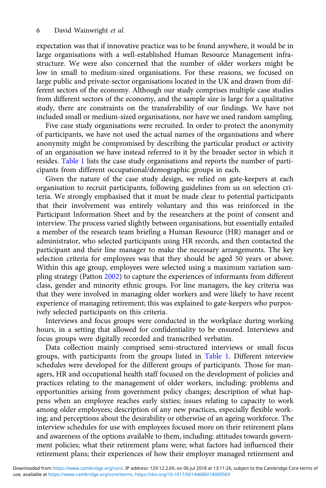expectation was that if innovative practice was to be found anywhere, it would be in large organisations with a well-established Human Resource Management infrastructure. We were also concerned that the number of older workers might be low in small to medium-sized organisations. For these reasons, we focused on large public and private-sector organisations located in the UK and drawn from different sectors of the economy. Although our study comprises multiple case studies from different sectors of the economy, and the sample size is large for a qualitative study, there are constraints on the transferability of our findings. We have not included small or medium-sized organisations, nor have we used random sampling.

Five case study organisations were recruited. In order to protect the anonymity of participants, we have not used the actual names of the organisations and where anonymity might be compromised by describing the particular product or activity of an organisation we have instead referred to it by the broader sector in which it resides. Table 1 lists the case study organisations and reports the number of participants from different occupational/demographic groups in each.

Given the nature of the case study design, we relied on gate-keepers at each organisation to recruit participants, following guidelines from us on selection criteria. We strongly emphasised that it must be made clear to potential participants that their involvement was entirely voluntary and this was reinforced in the Participant Information Sheet and by the researchers at the point of consent and interview. The process varied slightly between organisations, but essentially entailed a member of the research team briefing a Human Resource (HR) manager and or administrator, who selected participants using HR records, and then contacted the participant and their line manager to make the necessary arrangements. The key selection criteria for employees was that they should be aged 50 years or above. Within this age group, employees were selected using a maximum variation sampling strategy (Patton [2002\)](#page-22-0) to capture the experiences of informants from different class, gender and minority ethnic groups. For line managers, the key criteria was that they were involved in managing older workers and were likely to have recent experience of managing retirement; this was explained to gate-keepers who purposively selected participants on this criteria.

Interviews and focus groups were conducted in the workplace during working hours, in a setting that allowed for confidentiality to be ensured. Interviews and focus groups were digitally recorded and transcribed verbatim.

Data collection mainly comprised semi-structured interviews or small focus groups, with participants from the groups listed in Table 1. Different interview schedules were developed for the different groups of participants. Those for managers, HR and occupational health staff focused on the development of policies and practices relating to the management of older workers, including: problems and opportunities arising from government policy changes; description of what happens when an employee reaches early sixties; issues relating to capacity to work among older employees; description of any new practices, especially flexible working; and perceptions about the desirability or otherwise of an ageing workforce. The interview schedules for use with employees focused more on their retirement plans and awareness of the options available to them, including: attitudes towards government policies; what their retirement plans were; what factors had influenced their retirement plans; their experiences of how their employer managed retirement and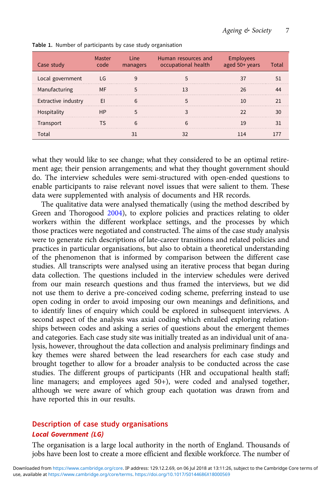| Case study                 | Line<br>managers | Human resources and<br>occupational health | aged 50+ years |  |
|----------------------------|------------------|--------------------------------------------|----------------|--|
| Local government           |                  |                                            |                |  |
| Manufacturing              |                  |                                            |                |  |
| <b>Extractive industry</b> |                  |                                            |                |  |
|                            |                  |                                            |                |  |
| Transport                  |                  |                                            |                |  |
|                            |                  |                                            |                |  |

Table 1. Number of participants by case study organisation

what they would like to see change; what they considered to be an optimal retirement age; their pension arrangements; and what they thought government should do. The interview schedules were semi-structured with open-ended questions to enable participants to raise relevant novel issues that were salient to them. These data were supplemented with analysis of documents and HR records.

The qualitative data were analysed thematically (using the method described by Green and Thorogood [2004\)](#page-21-0), to explore policies and practices relating to older workers within the different workplace settings, and the processes by which those practices were negotiated and constructed. The aims of the case study analysis were to generate rich descriptions of late-career transitions and related policies and practices in particular organisations, but also to obtain a theoretical understanding of the phenomenon that is informed by comparison between the different case studies. All transcripts were analysed using an iterative process that began during data collection. The questions included in the interview schedules were derived from our main research questions and thus framed the interviews, but we did not use them to derive a pre-conceived coding scheme, preferring instead to use open coding in order to avoid imposing our own meanings and definitions, and to identify lines of enquiry which could be explored in subsequent interviews. A second aspect of the analysis was axial coding which entailed exploring relationships between codes and asking a series of questions about the emergent themes and categories. Each case study site was initially treated as an individual unit of analysis, however, throughout the data collection and analysis preliminary findings and key themes were shared between the lead researchers for each case study and brought together to allow for a broader analysis to be conducted across the case studies. The different groups of participants (HR and occupational health staff; line managers; and employees aged 50+), were coded and analysed together, although we were aware of which group each quotation was drawn from and have reported this in our results.

#### Description of case study organisations Local Government (LG)

The organisation is a large local authority in the north of England. Thousands of jobs have been lost to create a more efficient and flexible workforce. The number of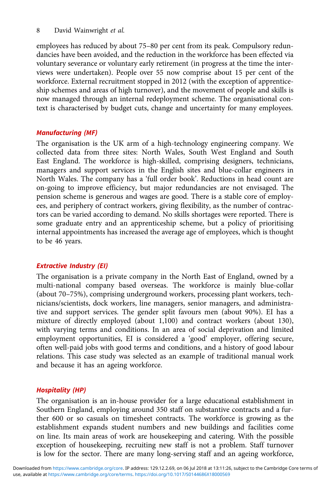employees has reduced by about 75–80 per cent from its peak. Compulsory redundancies have been avoided, and the reduction in the workforce has been effected via voluntary severance or voluntary early retirement (in progress at the time the interviews were undertaken). People over 55 now comprise about 15 per cent of the workforce. External recruitment stopped in 2012 (with the exception of apprenticeship schemes and areas of high turnover), and the movement of people and skills is now managed through an internal redeployment scheme. The organisational context is characterised by budget cuts, change and uncertainty for many employees.

#### Manufacturing (MF)

The organisation is the UK arm of a high-technology engineering company. We collected data from three sites: North Wales, South West England and South East England. The workforce is high-skilled, comprising designers, technicians, managers and support services in the English sites and blue-collar engineers in North Wales. The company has a 'full order book'. Reductions in head count are on-going to improve efficiency, but major redundancies are not envisaged. The pension scheme is generous and wages are good. There is a stable core of employees, and periphery of contract workers, giving flexibility, as the number of contractors can be varied according to demand. No skills shortages were reported. There is some graduate entry and an apprenticeship scheme, but a policy of prioritising internal appointments has increased the average age of employees, which is thought to be 46 years.

#### Extractive Industry (EI)

The organisation is a private company in the North East of England, owned by a multi-national company based overseas. The workforce is mainly blue-collar (about 70–75%), comprising underground workers, processing plant workers, technicians/scientists, dock workers, line managers, senior managers, and administrative and support services. The gender split favours men (about 90%). EI has a mixture of directly employed (about 1,100) and contract workers (about 130), with varying terms and conditions. In an area of social deprivation and limited employment opportunities, EI is considered a 'good' employer, offering secure, often well-paid jobs with good terms and conditions, and a history of good labour relations. This case study was selected as an example of traditional manual work and because it has an ageing workforce.

#### Hospitality (HP)

The organisation is an in-house provider for a large educational establishment in Southern England, employing around 350 staff on substantive contracts and a further 600 or so casuals on timesheet contracts. The workforce is growing as the establishment expands student numbers and new buildings and facilities come on line. Its main areas of work are housekeeping and catering. With the possible exception of housekeeping, recruiting new staff is not a problem. Staff turnover is low for the sector. There are many long-serving staff and an ageing workforce,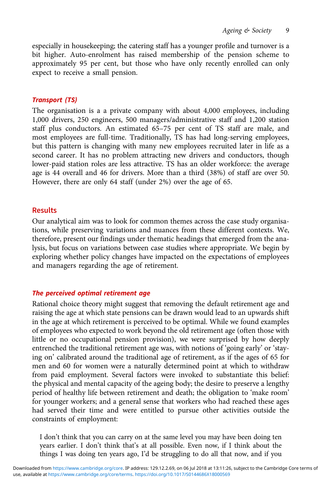especially in housekeeping; the catering staff has a younger profile and turnover is a bit higher. Auto-enrolment has raised membership of the pension scheme to approximately 95 per cent, but those who have only recently enrolled can only expect to receive a small pension.

#### Transport (TS)

The organisation is a a private company with about 4,000 employees, including 1,000 drivers, 250 engineers, 500 managers/administrative staff and 1,200 station staff plus conductors. An estimated 65–75 per cent of TS staff are male, and most employees are full-time. Traditionally, TS has had long-serving employees, but this pattern is changing with many new employees recruited later in life as a second career. It has no problem attracting new drivers and conductors, though lower-paid station roles are less attractive. TS has an older workforce: the average age is 44 overall and 46 for drivers. More than a third (38%) of staff are over 50. However, there are only 64 staff (under 2%) over the age of 65.

#### **Results**

Our analytical aim was to look for common themes across the case study organisations, while preserving variations and nuances from these different contexts. We, therefore, present our findings under thematic headings that emerged from the analysis, but focus on variations between case studies where appropriate. We begin by exploring whether policy changes have impacted on the expectations of employees and managers regarding the age of retirement.

#### The perceived optimal retirement age

Rational choice theory might suggest that removing the default retirement age and raising the age at which state pensions can be drawn would lead to an upwards shift in the age at which retirement is perceived to be optimal. While we found examples of employees who expected to work beyond the old retirement age (often those with little or no occupational pension provision), we were surprised by how deeply entrenched the traditional retirement age was, with notions of 'going early' or 'staying on' calibrated around the traditional age of retirement, as if the ages of 65 for men and 60 for women were a naturally determined point at which to withdraw from paid employment. Several factors were invoked to substantiate this belief: the physical and mental capacity of the ageing body; the desire to preserve a lengthy period of healthy life between retirement and death; the obligation to 'make room' for younger workers; and a general sense that workers who had reached these ages had served their time and were entitled to pursue other activities outside the constraints of employment:

I don't think that you can carry on at the same level you may have been doing ten years earlier. I don't think that's at all possible. Even now, if I think about the things I was doing ten years ago, I'd be struggling to do all that now, and if you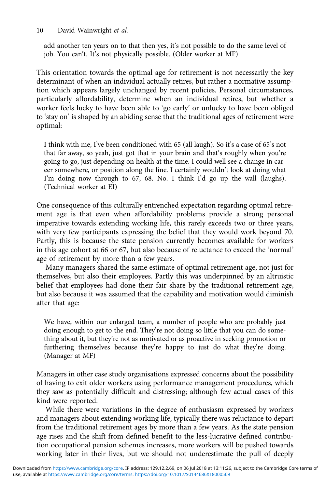10 David Wainwright *et al.*

add another ten years on to that then yes, it's not possible to do the same level of job. You can't. It's not physically possible. (Older worker at MF)

This orientation towards the optimal age for retirement is not necessarily the key determinant of when an individual actually retires, but rather a normative assumption which appears largely unchanged by recent policies. Personal circumstances, particularly affordability, determine when an individual retires, but whether a worker feels lucky to have been able to 'go early' or unlucky to have been obliged to 'stay on' is shaped by an abiding sense that the traditional ages of retirement were optimal:

I think with me, I've been conditioned with 65 (all laugh). So it's a case of 65's not that far away, so yeah, just got that in your brain and that's roughly when you're going to go, just depending on health at the time. I could well see a change in career somewhere, or position along the line. I certainly wouldn't look at doing what I'm doing now through to 67, 68. No. I think I'd go up the wall (laughs). (Technical worker at EI)

One consequence of this culturally entrenched expectation regarding optimal retirement age is that even when affordability problems provide a strong personal imperative towards extending working life, this rarely exceeds two or three years, with very few participants expressing the belief that they would work beyond 70. Partly, this is because the state pension currently becomes available for workers in this age cohort at 66 or 67, but also because of reluctance to exceed the 'normal' age of retirement by more than a few years.

Many managers shared the same estimate of optimal retirement age, not just for themselves, but also their employees. Partly this was underpinned by an altruistic belief that employees had done their fair share by the traditional retirement age, but also because it was assumed that the capability and motivation would diminish after that age:

We have, within our enlarged team, a number of people who are probably just doing enough to get to the end. They're not doing so little that you can do something about it, but they're not as motivated or as proactive in seeking promotion or furthering themselves because they're happy to just do what they're doing. (Manager at MF)

Managers in other case study organisations expressed concerns about the possibility of having to exit older workers using performance management procedures, which they saw as potentially difficult and distressing; although few actual cases of this kind were reported.

While there were variations in the degree of enthusiasm expressed by workers and managers about extending working life, typically there was reluctance to depart from the traditional retirement ages by more than a few years. As the state pension age rises and the shift from defined benefit to the less-lucrative defined contribution occupational pension schemes increases, more workers will be pushed towards working later in their lives, but we should not underestimate the pull of deeply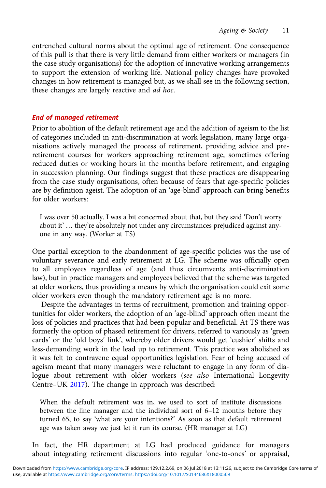entrenched cultural norms about the optimal age of retirement. One consequence of this pull is that there is very little demand from either workers or managers (in the case study organisations) for the adoption of innovative working arrangements to support the extension of working life. National policy changes have provoked changes in how retirement is managed but, as we shall see in the following section, these changes are largely reactive and *ad hoc*.

#### End of managed retirement

Prior to abolition of the default retirement age and the addition of ageism to the list of categories included in anti-discrimination at work legislation, many large organisations actively managed the process of retirement, providing advice and preretirement courses for workers approaching retirement age, sometimes offering reduced duties or working hours in the months before retirement, and engaging in succession planning. Our findings suggest that these practices are disappearing from the case study organisations, often because of fears that age-specific policies are by definition ageist. The adoption of an 'age-blind' approach can bring benefits for older workers:

I was over 50 actually. I was a bit concerned about that, but they said 'Don't worry about it' … they're absolutely not under any circumstances prejudiced against anyone in any way. (Worker at TS)

One partial exception to the abandonment of age-specific policies was the use of voluntary severance and early retirement at LG. The scheme was officially open to all employees regardless of age (and thus circumvents anti-discrimination law), but in practice managers and employees believed that the scheme was targeted at older workers, thus providing a means by which the organisation could exit some older workers even though the mandatory retirement age is no more.

Despite the advantages in terms of recruitment, promotion and training opportunities for older workers, the adoption of an 'age-blind' approach often meant the loss of policies and practices that had been popular and beneficial. At TS there was formerly the option of phased retirement for drivers, referred to variously as 'green cards' or the 'old boys' link', whereby older drivers would get 'cushier' shifts and less-demanding work in the lead up to retirement. This practice was abolished as it was felt to contravene equal opportunities legislation. Fear of being accused of ageism meant that many managers were reluctant to engage in any form of dialogue about retirement with older workers (*see also* International Longevity Centre–UK [2017](#page-21-0)). The change in approach was described:

When the default retirement was in, we used to sort of institute discussions between the line manager and the individual sort of 6–12 months before they turned 65, to say 'what are your intentions?' As soon as that default retirement age was taken away we just let it run its course. (HR manager at LG)

In fact, the HR department at LG had produced guidance for managers about integrating retirement discussions into regular 'one-to-ones' or appraisal,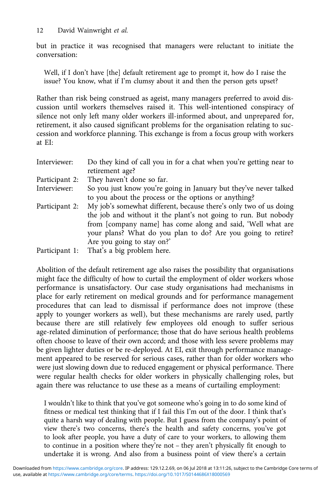but in practice it was recognised that managers were reluctant to initiate the conversation:

Well, if I don't have [the] default retirement age to prompt it, how do I raise the issue? You know, what if I'm clumsy about it and then the person gets upset?

Rather than risk being construed as ageist, many managers preferred to avoid discussion until workers themselves raised it. This well-intentioned conspiracy of silence not only left many older workers ill-informed about, and unprepared for, retirement, it also caused significant problems for the organisation relating to succession and workforce planning. This exchange is from a focus group with workers at EI:

| Interviewer:   | Do they kind of call you in for a chat when you're getting near to |  |  |  |  |
|----------------|--------------------------------------------------------------------|--|--|--|--|
|                | retirement age?                                                    |  |  |  |  |
| Participant 2: | They haven't done so far.                                          |  |  |  |  |
| Interviewer:   | So you just know you're going in January but they've never talked  |  |  |  |  |
|                | to you about the process or the options or anything?               |  |  |  |  |
| Participant 2: | My job's somewhat different, because there's only two of us doing  |  |  |  |  |
|                | the job and without it the plant's not going to run. But nobody    |  |  |  |  |
|                | from [company name] has come along and said, 'Well what are        |  |  |  |  |
|                | your plans? What do you plan to do? Are you going to retire?       |  |  |  |  |
|                | Are you going to stay on?'                                         |  |  |  |  |
| Participant 1: | That's a big problem here.                                         |  |  |  |  |

Abolition of the default retirement age also raises the possibility that organisations might face the difficulty of how to curtail the employment of older workers whose performance is unsatisfactory. Our case study organisations had mechanisms in place for early retirement on medical grounds and for performance management procedures that can lead to dismissal if performance does not improve (these apply to younger workers as well), but these mechanisms are rarely used, partly because there are still relatively few employees old enough to suffer serious age-related diminution of performance; those that do have serious health problems often choose to leave of their own accord; and those with less severe problems may be given lighter duties or be re-deployed. At EI, exit through performance management appeared to be reserved for serious cases, rather than for older workers who were just slowing down due to reduced engagement or physical performance. There were regular health checks for older workers in physically challenging roles, but again there was reluctance to use these as a means of curtailing employment:

I wouldn't like to think that you've got someone who's going in to do some kind of fitness or medical test thinking that if I fail this I'm out of the door. I think that's quite a harsh way of dealing with people. But I guess from the company's point of view there's two concerns, there's the health and safety concerns, you've got to look after people, you have a duty of care to your workers, to allowing them to continue in a position where they're not – they aren't physically fit enough to undertake it is wrong. And also from a business point of view there's a certain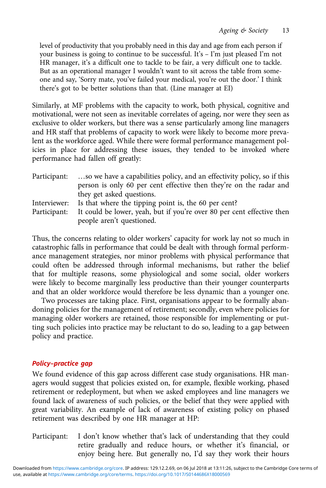level of productivity that you probably need in this day and age from each person if your business is going to continue to be successful. It's – I'm just pleased I'm not HR manager, it's a difficult one to tackle to be fair, a very difficult one to tackle. But as an operational manager I wouldn't want to sit across the table from someone and say, 'Sorry mate, you've failed your medical, you're out the door.' I think there's got to be better solutions than that. (Line manager at EI)

Similarly, at MF problems with the capacity to work, both physical, cognitive and motivational, were not seen as inevitable correlates of ageing, nor were they seen as exclusive to older workers, but there was a sense particularly among line managers and HR staff that problems of capacity to work were likely to become more prevalent as the workforce aged. While there were formal performance management policies in place for addressing these issues, they tended to be invoked where performance had fallen off greatly:

| Participant: | so we have a capabilities policy, and an effectivity policy, so if this |
|--------------|-------------------------------------------------------------------------|
|              | person is only 60 per cent effective then they're on the radar and      |
|              | they get asked questions.                                               |
| Interviewer: | Is that where the tipping point is, the 60 per cent?                    |
| Participant: | It could be lower, yeah, but if you're over 80 per cent effective then  |

people aren't questioned. Thus, the concerns relating to older workers' capacity for work lay not so much in catastrophic falls in performance that could be dealt with through formal perform-

ance management strategies, nor minor problems with physical performance that could often be addressed through informal mechanisms, but rather the belief that for multiple reasons, some physiological and some social, older workers were likely to become marginally less productive than their younger counterparts and that an older workforce would therefore be less dynamic than a younger one.

Two processes are taking place. First, organisations appear to be formally abandoning policies for the management of retirement; secondly, even where policies for managing older workers are retained, those responsible for implementing or putting such policies into practice may be reluctant to do so, leading to a gap between policy and practice.

#### Policy–practice gap

We found evidence of this gap across different case study organisations. HR managers would suggest that policies existed on, for example, flexible working, phased retirement or redeployment, but when we asked employees and line managers we found lack of awareness of such policies, or the belief that they were applied with great variability. An example of lack of awareness of existing policy on phased retirement was described by one HR manager at HP:

Participant: I don't know whether that's lack of understanding that they could retire gradually and reduce hours, or whether it's financial, or enjoy being here. But generally no, I'd say they work their hours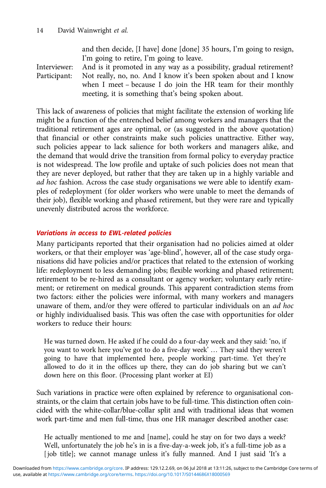and then decide, [I have] done [done] 35 hours, I'm going to resign, I'm going to retire, I'm going to leave.

Interviewer: And is it promoted in any way as a possibility, gradual retirement? Participant: Not really, no, no. And I know it's been spoken about and I know when I meet – because I do join the HR team for their monthly meeting, it is something that's being spoken about.

This lack of awareness of policies that might facilitate the extension of working life might be a function of the entrenched belief among workers and managers that the traditional retirement ages are optimal, or (as suggested in the above quotation) that financial or other constraints make such policies unattractive. Either way, such policies appear to lack salience for both workers and managers alike, and the demand that would drive the transition from formal policy to everyday practice is not widespread. The low profile and uptake of such policies does not mean that they are never deployed, but rather that they are taken up in a highly variable and *ad hoc* fashion. Across the case study organisations we were able to identify examples of redeployment (for older workers who were unable to meet the demands of their job), flexible working and phased retirement, but they were rare and typically unevenly distributed across the workforce.

#### Variations in access to EWL-related policies

Many participants reported that their organisation had no policies aimed at older workers, or that their employer was 'age-blind', however, all of the case study organisations did have policies and/or practices that related to the extension of working life: redeployment to less demanding jobs; flexible working and phased retirement; retirement to be re-hired as a consultant or agency worker; voluntary early retirement; or retirement on medical grounds. This apparent contradiction stems from two factors: either the policies were informal, with many workers and managers unaware of them, and/or they were offered to particular individuals on an *ad hoc* or highly individualised basis. This was often the case with opportunities for older workers to reduce their hours:

He was turned down. He asked if he could do a four-day week and they said: 'no, if you want to work here you've got to do a five-day week' … They said they weren't going to have that implemented here, people working part-time. Yet they're allowed to do it in the offices up there, they can do job sharing but we can't down here on this floor. (Processing plant worker at EI)

Such variations in practice were often explained by reference to organisational constraints, or the claim that certain jobs have to be full-time. This distinction often coincided with the white-collar/blue-collar split and with traditional ideas that women work part-time and men full-time, thus one HR manager described another case:

He actually mentioned to me and [name], could he stay on for two days a week? Well, unfortunately the job he's in is a five-day-a-week job, it's a full-time job as a [ job title]; we cannot manage unless it's fully manned. And I just said 'It's a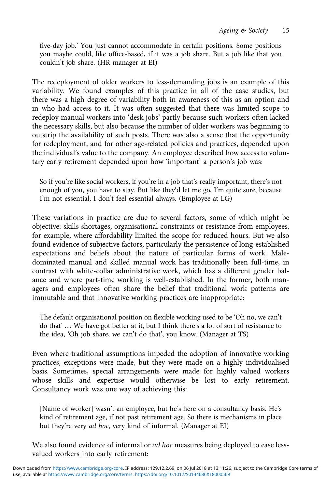five-day job.' You just cannot accommodate in certain positions. Some positions you maybe could, like office-based, if it was a job share. But a job like that you couldn't job share. (HR manager at EI)

The redeployment of older workers to less-demanding jobs is an example of this variability. We found examples of this practice in all of the case studies, but there was a high degree of variability both in awareness of this as an option and in who had access to it. It was often suggested that there was limited scope to redeploy manual workers into 'desk jobs' partly because such workers often lacked the necessary skills, but also because the number of older workers was beginning to outstrip the availability of such posts. There was also a sense that the opportunity for redeployment, and for other age-related policies and practices, depended upon the individual's value to the company. An employee described how access to voluntary early retirement depended upon how 'important' a person's job was:

So if you're like social workers, if you're in a job that's really important, there's not enough of you, you have to stay. But like they'd let me go, I'm quite sure, because I'm not essential, I don't feel essential always. (Employee at LG)

These variations in practice are due to several factors, some of which might be objective: skills shortages, organisational constraints or resistance from employees, for example, where affordability limited the scope for reduced hours. But we also found evidence of subjective factors, particularly the persistence of long-established expectations and beliefs about the nature of particular forms of work. Maledominated manual and skilled manual work has traditionally been full-time, in contrast with white-collar administrative work, which has a different gender balance and where part-time working is well-established. In the former, both managers and employees often share the belief that traditional work patterns are immutable and that innovative working practices are inappropriate:

The default organisational position on flexible working used to be 'Oh no, we can't do that' … We have got better at it, but I think there's a lot of sort of resistance to the idea, 'Oh job share, we can't do that', you know. (Manager at TS)

Even where traditional assumptions impeded the adoption of innovative working practices, exceptions were made, but they were made on a highly individualised basis. Sometimes, special arrangements were made for highly valued workers whose skills and expertise would otherwise be lost to early retirement. Consultancy work was one way of achieving this:

[Name of worker] wasn't an employee, but he's here on a consultancy basis. He's kind of retirement age, if not past retirement age. So there is mechanisms in place but they're very *ad hoc*, very kind of informal. (Manager at EI)

We also found evidence of informal or *ad hoc* measures being deployed to ease lessvalued workers into early retirement: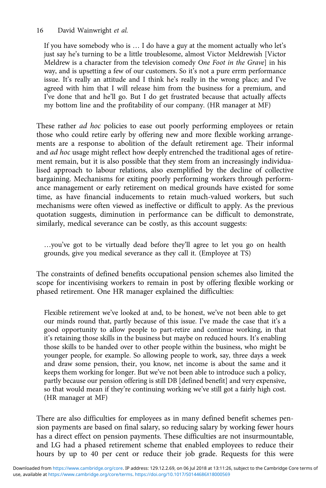If you have somebody who is … I do have a guy at the moment actually who let's just say he's turning to be a little troublesome, almost Victor Meldrewish [Victor Meldrew is a character from the television comedy *One Foot in the Grave*] in his way, and is upsetting a few of our customers. So it's not a pure errm performance issue. It's really an attitude and I think he's really in the wrong place; and I've agreed with him that I will release him from the business for a premium, and I've done that and he'll go. But I do get frustrated because that actually affects my bottom line and the profitability of our company. (HR manager at MF)

These rather *ad hoc* policies to ease out poorly performing employees or retain those who could retire early by offering new and more flexible working arrangements are a response to abolition of the default retirement age. Their informal and *ad hoc* usage might reflect how deeply entrenched the traditional ages of retirement remain, but it is also possible that they stem from an increasingly individualised approach to labour relations, also exemplified by the decline of collective bargaining. Mechanisms for exiting poorly performing workers through performance management or early retirement on medical grounds have existed for some time, as have financial inducements to retain much-valued workers, but such mechanisms were often viewed as ineffective or difficult to apply. As the previous quotation suggests, diminution in performance can be difficult to demonstrate, similarly, medical severance can be costly, as this account suggests:

…you've got to be virtually dead before they'll agree to let you go on health grounds, give you medical severance as they call it. (Employee at TS)

The constraints of defined benefits occupational pension schemes also limited the scope for incentivising workers to remain in post by offering flexible working or phased retirement. One HR manager explained the difficulties:

Flexible retirement we've looked at and, to be honest, we've not been able to get our minds round that, partly because of this issue. I've made the case that it's a good opportunity to allow people to part-retire and continue working, in that it's retaining those skills in the business but maybe on reduced hours. It's enabling those skills to be handed over to other people within the business, who might be younger people, for example. So allowing people to work, say, three days a week and draw some pension, their, you know, net income is about the same and it keeps them working for longer. But we've not been able to introduce such a policy, partly because our pension offering is still DB [defined benefit] and very expensive, so that would mean if they're continuing working we've still got a fairly high cost. (HR manager at MF)

There are also difficulties for employees as in many defined benefit schemes pension payments are based on final salary, so reducing salary by working fewer hours has a direct effect on pension payments. These difficulties are not insurmountable, and LG had a phased retirement scheme that enabled employees to reduce their hours by up to 40 per cent or reduce their job grade. Requests for this were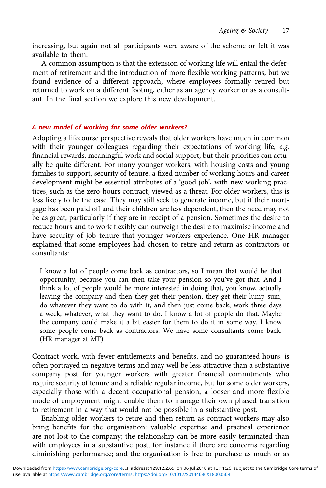increasing, but again not all participants were aware of the scheme or felt it was available to them.

A common assumption is that the extension of working life will entail the deferment of retirement and the introduction of more flexible working patterns, but we found evidence of a different approach, where employees formally retired but returned to work on a different footing, either as an agency worker or as a consultant. In the final section we explore this new development.

#### A new model of working for some older workers?

Adopting a lifecourse perspective reveals that older workers have much in common with their younger colleagues regarding their expectations of working life, *e.g.* financial rewards, meaningful work and social support, but their priorities can actually be quite different. For many younger workers, with housing costs and young families to support, security of tenure, a fixed number of working hours and career development might be essential attributes of a 'good job', with new working practices, such as the zero-hours contract, viewed as a threat. For older workers, this is less likely to be the case. They may still seek to generate income, but if their mortgage has been paid off and their children are less dependent, then the need may not be as great, particularly if they are in receipt of a pension. Sometimes the desire to reduce hours and to work flexibly can outweigh the desire to maximise income and have security of job tenure that younger workers experience. One HR manager explained that some employees had chosen to retire and return as contractors or consultants:

I know a lot of people come back as contractors, so I mean that would be that opportunity, because you can then take your pension so you've got that. And I think a lot of people would be more interested in doing that, you know, actually leaving the company and then they get their pension, they get their lump sum, do whatever they want to do with it, and then just come back, work three days a week, whatever, what they want to do. I know a lot of people do that. Maybe the company could make it a bit easier for them to do it in some way. I know some people come back as contractors. We have some consultants come back. (HR manager at MF)

Contract work, with fewer entitlements and benefits, and no guaranteed hours, is often portrayed in negative terms and may well be less attractive than a substantive company post for younger workers with greater financial commitments who require security of tenure and a reliable regular income, but for some older workers, especially those with a decent occupational pension, a looser and more flexible mode of employment might enable them to manage their own phased transition to retirement in a way that would not be possible in a substantive post.

Enabling older workers to retire and then return as contract workers may also bring benefits for the organisation: valuable expertise and practical experience are not lost to the company; the relationship can be more easily terminated than with employees in a substantive post, for instance if there are concerns regarding diminishing performance; and the organisation is free to purchase as much or as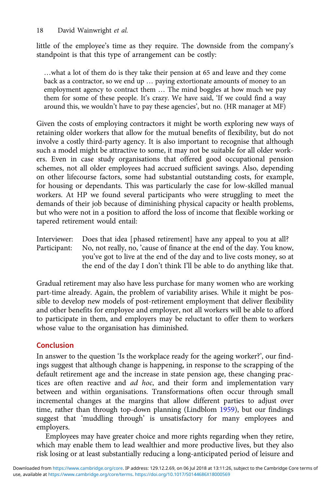little of the employee's time as they require. The downside from the company's standpoint is that this type of arrangement can be costly:

…what a lot of them do is they take their pension at 65 and leave and they come back as a contractor, so we end up … paying extortionate amounts of money to an employment agency to contract them … The mind boggles at how much we pay them for some of these people. It's crazy. We have said, 'If we could find a way around this, we wouldn't have to pay these agencies', but no. (HR manager at MF)

Given the costs of employing contractors it might be worth exploring new ways of retaining older workers that allow for the mutual benefits of flexibility, but do not involve a costly third-party agency. It is also important to recognise that although such a model might be attractive to some, it may not be suitable for all older workers. Even in case study organisations that offered good occupational pension schemes, not all older employees had accrued sufficient savings. Also, depending on other lifecourse factors, some had substantial outstanding costs, for example, for housing or dependants. This was particularly the case for low-skilled manual workers. At HP we found several participants who were struggling to meet the demands of their job because of diminishing physical capacity or health problems, but who were not in a position to afford the loss of income that flexible working or tapered retirement would entail:

Interviewer: Does that idea [phased retirement] have any appeal to you at all? Participant: No, not really, no, 'cause of finance at the end of the day. You know, you've got to live at the end of the day and to live costs money, so at the end of the day I don't think I'll be able to do anything like that.

Gradual retirement may also have less purchase for many women who are working part-time already. Again, the problem of variability arises. While it might be possible to develop new models of post-retirement employment that deliver flexibility and other benefits for employee and employer, not all workers will be able to afford to participate in them, and employers may be reluctant to offer them to workers whose value to the organisation has diminished.

#### Conclusion

In answer to the question 'Is the workplace ready for the ageing worker?', our findings suggest that although change is happening, in response to the scrapping of the default retirement age and the increase in state pension age, these changing practices are often reactive and *ad hoc*, and their form and implementation vary between and within organisations. Transformations often occur through small incremental changes at the margins that allow different parties to adjust over time, rather than through top-down planning (Lindblom [1959](#page-21-0)), but our findings suggest that 'muddling through' is unsatisfactory for many employees and employers.

Employees may have greater choice and more rights regarding when they retire, which may enable them to lead wealthier and more productive lives, but they also risk losing or at least substantially reducing a long-anticipated period of leisure and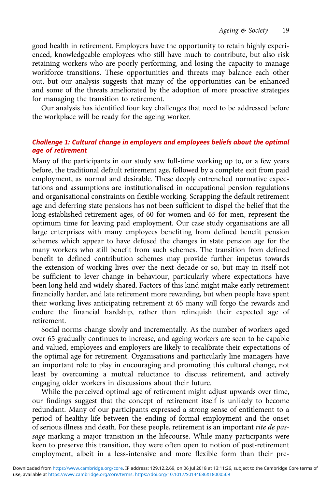good health in retirement. Employers have the opportunity to retain highly experienced, knowledgeable employees who still have much to contribute, but also risk retaining workers who are poorly performing, and losing the capacity to manage workforce transitions. These opportunities and threats may balance each other out, but our analysis suggests that many of the opportunities can be enhanced and some of the threats ameliorated by the adoption of more proactive strategies for managing the transition to retirement.

Our analysis has identified four key challenges that need to be addressed before the workplace will be ready for the ageing worker.

#### Challenge 1: Cultural change in employers and employees beliefs about the optimal age of retirement

Many of the participants in our study saw full-time working up to, or a few years before, the traditional default retirement age, followed by a complete exit from paid employment, as normal and desirable. These deeply entrenched normative expectations and assumptions are institutionalised in occupational pension regulations and organisational constraints on flexible working. Scrapping the default retirement age and deferring state pensions has not been sufficient to dispel the belief that the long-established retirement ages, of 60 for women and 65 for men, represent the optimum time for leaving paid employment. Our case study organisations are all large enterprises with many employees benefiting from defined benefit pension schemes which appear to have defused the changes in state pension age for the many workers who still benefit from such schemes. The transition from defined benefit to defined contribution schemes may provide further impetus towards the extension of working lives over the next decade or so, but may in itself not be sufficient to lever change in behaviour, particularly where expectations have been long held and widely shared. Factors of this kind might make early retirement financially harder, and late retirement more rewarding, but when people have spent their working lives anticipating retirement at 65 many will forgo the rewards and endure the financial hardship, rather than relinquish their expected age of retirement.

Social norms change slowly and incrementally. As the number of workers aged over 65 gradually continues to increase, and ageing workers are seen to be capable and valued, employees and employers are likely to recalibrate their expectations of the optimal age for retirement. Organisations and particularly line managers have an important role to play in encouraging and promoting this cultural change, not least by overcoming a mutual reluctance to discuss retirement, and actively engaging older workers in discussions about their future.

While the perceived optimal age of retirement might adjust upwards over time, our findings suggest that the concept of retirement itself is unlikely to become redundant. Many of our participants expressed a strong sense of entitlement to a period of healthy life between the ending of formal employment and the onset of serious illness and death. For these people, retirement is an important *rite de passage* marking a major transition in the lifecourse. While many participants were keen to preserve this transition, they were often open to notion of post-retirement employment, albeit in a less-intensive and more flexible form than their pre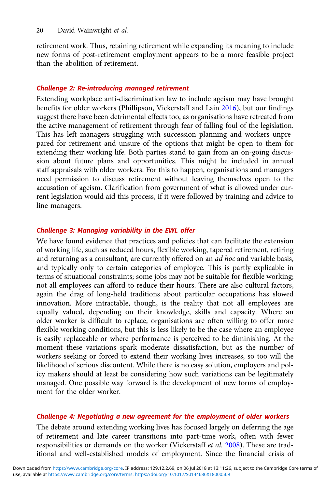retirement work. Thus, retaining retirement while expanding its meaning to include new forms of post-retirement employment appears to be a more feasible project than the abolition of retirement.

#### Challenge 2: Re-introducing managed retirement

Extending workplace anti-discrimination law to include ageism may have brought benefits for older workers (Phillipson, Vickerstaff and Lain [2016\)](#page-22-0), but our findings suggest there have been detrimental effects too, as organisations have retreated from the active management of retirement through fear of falling foul of the legislation. This has left managers struggling with succession planning and workers unprepared for retirement and unsure of the options that might be open to them for extending their working life. Both parties stand to gain from an on-going discussion about future plans and opportunities. This might be included in annual staff appraisals with older workers. For this to happen, organisations and managers need permission to discuss retirement without leaving themselves open to the accusation of ageism. Clarification from government of what is allowed under current legislation would aid this process, if it were followed by training and advice to line managers.

#### Challenge 3: Managing variability in the EWL offer

We have found evidence that practices and policies that can facilitate the extension of working life, such as reduced hours, flexible working, tapered retirement, retiring and returning as a consultant, are currently offered on an *ad hoc* and variable basis, and typically only to certain categories of employee. This is partly explicable in terms of situational constraints; some jobs may not be suitable for flexible working; not all employees can afford to reduce their hours. There are also cultural factors, again the drag of long-held traditions about particular occupations has slowed innovation. More intractable, though, is the reality that not all employees are equally valued, depending on their knowledge, skills and capacity. Where an older worker is difficult to replace, organisations are often willing to offer more flexible working conditions, but this is less likely to be the case where an employee is easily replaceable or where performance is perceived to be diminishing. At the moment these variations spark moderate dissatisfaction, but as the number of workers seeking or forced to extend their working lives increases, so too will the likelihood of serious discontent. While there is no easy solution, employers and policy makers should at least be considering how such variations can be legitimately managed. One possible way forward is the development of new forms of employment for the older worker.

#### Challenge 4: Negotiating a new agreement for the employment of older workers

The debate around extending working lives has focused largely on deferring the age of retirement and late career transitions into part-time work, often with fewer responsibilities or demands on the worker (Vickerstaff *et al.* [2008](#page-22-0)). These are traditional and well-established models of employment. Since the financial crisis of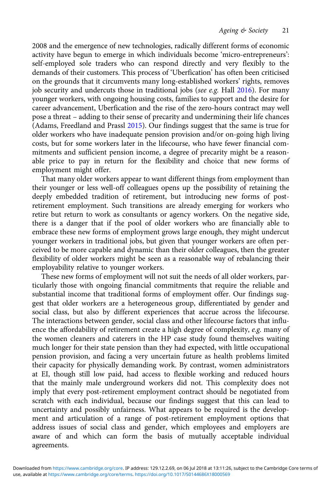<span id="page-21-0"></span>2008 and the emergence of new technologies, radically different forms of economic activity have begun to emerge in which individuals become 'micro-entrepreneurs': self-employed sole traders who can respond directly and very flexibly to the demands of their customers. This process of 'Uberfication' has often been criticised on the grounds that it circumvents many long-established workers' rights, removes job security and undercuts those in traditional jobs (*see e.g.* Hall 2016). For many younger workers, with ongoing housing costs, families to support and the desire for career advancement, Uberfication and the rise of the zero-hours contract may well pose a threat – adding to their sense of precarity and undermining their life chances (Adams, Freedland and Prassl 2015). Our findings suggest that the same is true for older workers who have inadequate pension provision and/or on-going high living costs, but for some workers later in the lifecourse, who have fewer financial commitments and sufficient pension income, a degree of precarity might be a reasonable price to pay in return for the flexibility and choice that new forms of employment might offer.

That many older workers appear to want different things from employment than their younger or less well-off colleagues opens up the possibility of retaining the deeply embedded tradition of retirement, but introducing new forms of postretirement employment. Such transitions are already emerging for workers who retire but return to work as consultants or agency workers. On the negative side, there is a danger that if the pool of older workers who are financially able to embrace these new forms of employment grows large enough, they might undercut younger workers in traditional jobs, but given that younger workers are often perceived to be more capable and dynamic than their older colleagues, then the greater flexibility of older workers might be seen as a reasonable way of rebalancing their employability relative to younger workers.

These new forms of employment will not suit the needs of all older workers, particularly those with ongoing financial commitments that require the reliable and substantial income that traditional forms of employment offer. Our findings suggest that older workers are a heterogeneous group, differentiated by gender and social class, but also by different experiences that accrue across the lifecourse. The interactions between gender, social class and other lifecourse factors that influence the affordability of retirement create a high degree of complexity, *e.g.* many of the women cleaners and caterers in the HP case study found themselves waiting much longer for their state pension than they had expected, with little occupational pension provision, and facing a very uncertain future as health problems limited their capacity for physically demanding work. By contrast, women administrators at EI, though still low paid, had access to flexible working and reduced hours that the mainly male underground workers did not. This complexity does not imply that every post-retirement employment contract should be negotiated from scratch with each individual, because our findings suggest that this can lead to uncertainty and possibly unfairness. What appears to be required is the development and articulation of a range of post-retirement employment options that address issues of social class and gender, which employees and employers are aware of and which can form the basis of mutually acceptable individual agreements.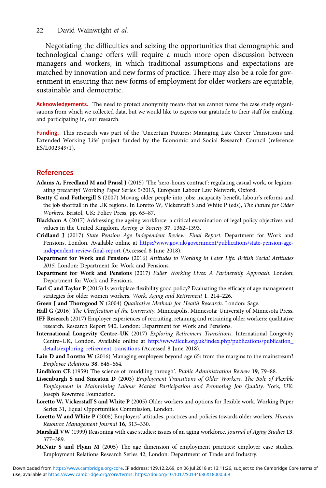<span id="page-22-0"></span>22 David Wainwright *et al.*

Negotiating the difficulties and seizing the opportunities that demographic and technological change offers will require a much more open discussion between managers and workers, in which traditional assumptions and expectations are matched by innovation and new forms of practice. There may also be a role for government in ensuring that new forms of employment for older workers are equitable, sustainable and democratic.

Acknowledgements. The need to protect anonymity means that we cannot name the case study organisations from which we collected data, but we would like to express our gratitude to their staff for enabling, and participating in, our research.

Funding. This research was part of the 'Uncertain Futures: Managing Late Career Transitions and Extended Working Life' project funded by the Economic and Social Research Council (reference ES/L002949/1).

#### References

- Adams A, Freedland M and Prassl J (2015) 'The 'zero-hours contract': regulating casual work, or legitimating precarity? Working Paper Series 5/2015, European Labour Law Network, Oxford.
- Beatty C and Fothergill S (2007) Moving older people into jobs: incapacity benefit, labour's reforms and the job shortfall in the UK regions. In Loretto W, Vickerstaff S and White P (eds), *The Future for Older Workers*. Bristol, UK: Policy Press, pp. 65–87.
- Blackham A (2017) Addressing the ageing workforce: a critical examination of legal policy objectives and values in the United Kingdom. *Ageing & Society* 37, 1362–1393.
- Cridland J (2017) *State Pension Age Independent Review: Final Report*. Department for Work and Pensions, London. Available online at [https://www.gov.uk/government/publications/state-pension-age](https://www.gov.uk/government/publications/state-pension-age-independent-review-final-report)[independent-review-final-report](https://www.gov.uk/government/publications/state-pension-age-independent-review-final-report) (Accessed 8 June 2018).
- Department for Work and Pensions (2016) *Attitudes to Working in Later Life: British Social Attitudes 2015*. London: Department for Work and Pensions.
- Department for Work and Pensions (2017) *Fuller Working Lives: A Partnership Approach*. London: Department for Work and Pensions.
- Earl C and Taylor P (2015) Is workplace flexibility good policy? Evaluating the efficacy of age management strategies for older women workers. *Work, Aging and Retirement* 1, 214–226.
- Green J and Thorogood N (2004) *Qualitative Methods for Health Research*. London: Sage.
- Hall G (2016) *The Uberfication of the University*. Minneapolis, Minnesota: University of Minnesota Press.
- IFF Research (2017) Employer experiences of recruiting, retaining and retraining older workers: qualitative research. Research Report 940, London: Department for Work and Pensions.
- International Longevity Centre–UK (2017) *Exploring Retirement Transitions*. International Longevity Centre–UK, London. Available online at [http://www.ilcuk.org.uk/index.php/publications/publication\\_](http://www.ilcuk.org.uk/index.php/publications/publication_details/exploring_retirement_transitions) [details/exploring\\_retirement\\_transitions](http://www.ilcuk.org.uk/index.php/publications/publication_details/exploring_retirement_transitions) (Accessed 8 June 2018).
- Lain D and Loretto W (2016) Managing employees beyond age 65: from the margins to the mainstream? *Employee Relations* 38, 646–664.
- Lindblom CE (1959) The science of 'muddling through'. *Public Administration Review* 19, 79–88.
- Lissenburgh S and Smeaton D (2003) *Employment Transitions of Older Workers. The Role of Flexible Employment in Maintaining Labour Market Participation and Promoting Job Quality*. York, UK: Joseph Rowntree Foundation.
- Loretto W, Vickerstaff S and White P (2005) Older workers and options for flexible work. Working Paper Series 31, Equal Opportunities Commission, London.
- Loretto W and White P (2006) Employers' attitudes, practices and policies towards older workers. *Human Resource Management Journal* 16, 313–330.
- Marshall VW (1999) Reasoning with case studies: issues of an aging workforce. *Journal of Aging Studies* 13, 377–389.
- McNair S and Flynn M (2005) The age dimension of employment practices: employer case studies. Employment Relations Research Series 42, London: Department of Trade and Industry.